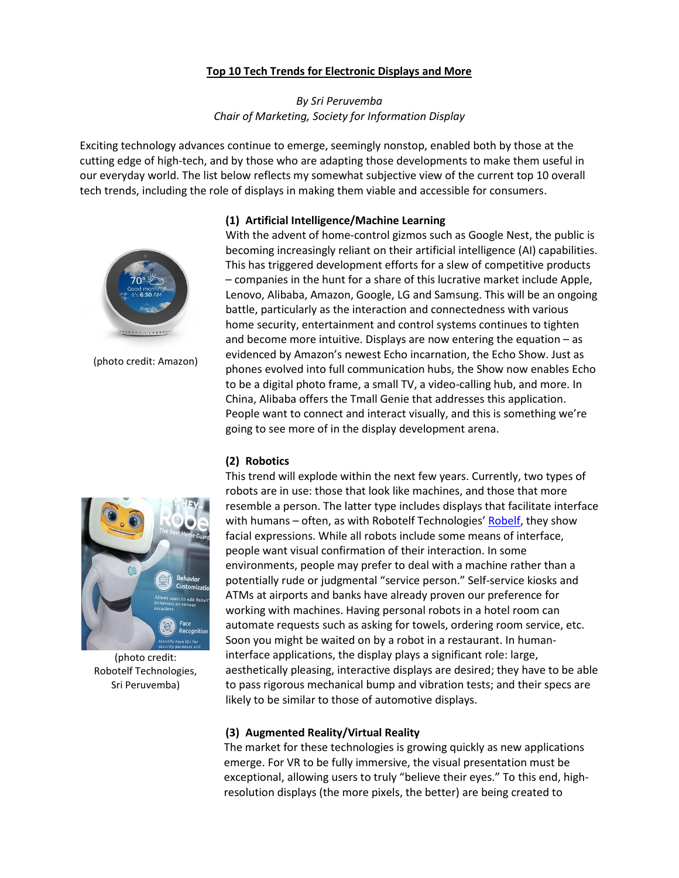# **Top 10 Tech Trends for Electronic Displays and More**

# *By Sri Peruvemba Chair of Marketing, Society for Information Display*

Exciting technology advances continue to emerge, seemingly nonstop, enabled both by those at the cutting edge of high-tech, and by those who are adapting those developments to make them useful in our everyday world. The list below reflects my somewhat subjective view of the current top 10 overall tech trends, including the role of displays in making them viable and accessible for consumers.





(photo credit: Amazon)

With the advent of home-control gizmos such as Google Nest, the public is becoming increasingly reliant on their artificial intelligence (AI) capabilities. This has triggered development efforts for a slew of competitive products – companies in the hunt for a share of this lucrative market include Apple, Lenovo, Alibaba, Amazon, Google, LG and Samsung. This will be an ongoing battle, particularly as the interaction and connectedness with various home security, entertainment and control systems continues to tighten and become more intuitive. Displays are now entering the equation – as evidenced by Amazon's newest Echo incarnation, the Echo Show. Just as phones evolved into full communication hubs, the Show now enables Echo to be a digital photo frame, a small TV, a video-calling hub, and more. In China, Alibaba offers the Tmall Genie that addresses this application. People want to connect and interact visually, and this is something we're going to see more of in the display development arena.

## **(2) Robotics**



(photo credit: Robotelf Technologies, Sri Peruvemba)

This trend will explode within the next few years. Currently, two types of robots are in use: those that look like machines, and those that more resemble a person. The latter type includes displays that facilitate interface with humans – often, as with Robotelf Technologies' [Robelf,](https://www.robelf.com/) they show facial expressions. While all robots include some means of interface, people want visual confirmation of their interaction. In some environments, people may prefer to deal with a machine rather than a potentially rude or judgmental "service person." Self-service kiosks and ATMs at airports and banks have already proven our preference for working with machines. Having personal robots in a hotel room can automate requests such as asking for towels, ordering room service, etc. Soon you might be waited on by a robot in a restaurant. In humaninterface applications, the display plays a significant role: large, aesthetically pleasing, interactive displays are desired; they have to be able to pass rigorous mechanical bump and vibration tests; and their specs are likely to be similar to those of automotive displays.

# **(3) Augmented Reality/Virtual Reality**

The market for these technologies is growing quickly as new applications emerge. For VR to be fully immersive, the visual presentation must be exceptional, allowing users to truly "believe their eyes." To this end, highresolution displays (the more pixels, the better) are being created to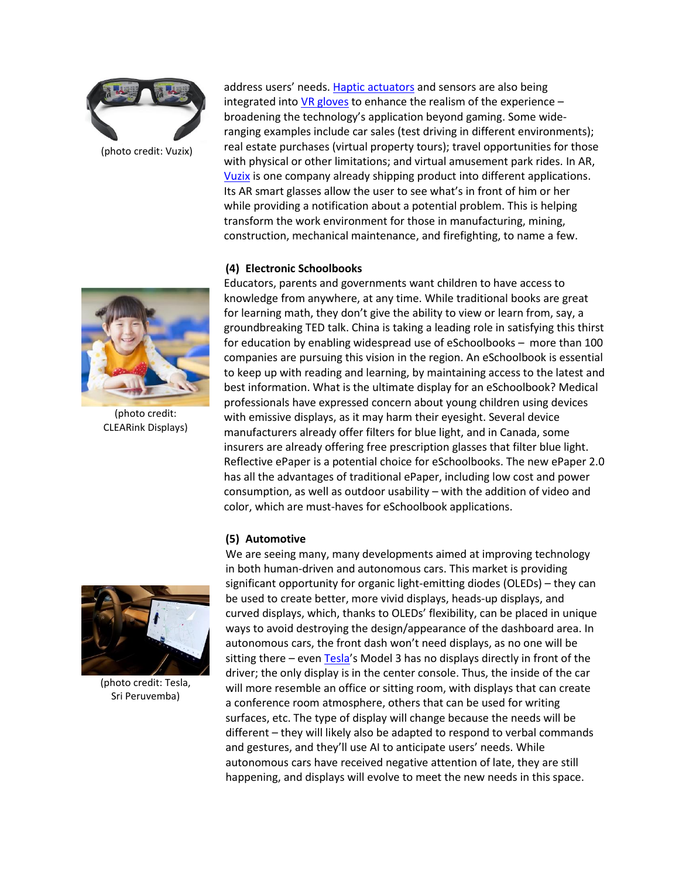

address users' needs. [Haptic actuators](http://novasentis.com/technology.html) and sensors are also being integrated int[o VR gloves](https://www.bebopsensors.com/about/) to enhance the realism of the experience  $$ broadening the technology's application beyond gaming. Some wideranging examples include car sales (test driving in different environments); real estate purchases (virtual property tours); travel opportunities for those with physical or other limitations; and virtual amusement park rides. In AR, [Vuzix](https://www.vuzix.com/) is one company already shipping product into different applications. Its AR smart glasses allow the user to see what's in front of him or her while providing a notification about a potential problem. This is helping transform the work environment for those in manufacturing, mining, construction, mechanical maintenance, and firefighting, to name a few.

## **(4) Electronic Schoolbooks**

Educators, parents and governments want children to have access to knowledge from anywhere, at any time. While traditional books are great for learning math, they don't give the ability to view or learn from, say, a groundbreaking TED talk. China is taking a leading role in satisfying this thirst for education by enabling widespread use of eSchoolbooks – more than 100 companies are pursuing this vision in the region. An eSchoolbook is essential to keep up with reading and learning, by maintaining access to the latest and best information. What is the ultimate display for an eSchoolbook? Medical professionals have expressed concern about young children using devices with emissive displays, as it may harm their eyesight. Several device manufacturers already offer filters for blue light, and in Canada, some insurers are already offering free prescription glasses that filter blue light. Reflective ePaper is a potential choice for eSchoolbooks. The new ePaper 2.0 has all the advantages of traditional ePaper, including low cost and power consumption, as well as outdoor usability – with the addition of video and color, which are must-haves for eSchoolbook applications.

## **(5) Automotive**

We are seeing many, many developments aimed at improving technology in both human-driven and autonomous cars. This market is providing significant opportunity for organic light-emitting diodes (OLEDs) – they can be used to create better, more vivid displays, heads-up displays, and curved displays, which, thanks to OLEDs' flexibility, can be placed in unique ways to avoid destroying the design/appearance of the dashboard area. In autonomous cars, the front dash won't need displays, as no one will be sitting there – even [Tesla](https://www.tesla.com/)'s Model 3 has no displays directly in front of the driver; the only display is in the center console. Thus, the inside of the car will more resemble an office or sitting room, with displays that can create a conference room atmosphere, others that can be used for writing surfaces, etc. The type of display will change because the needs will be different – they will likely also be adapted to respond to verbal commands and gestures, and they'll use AI to anticipate users' needs. While autonomous cars have received negative attention of late, they are still happening, and displays will evolve to meet the new needs in this space.



(photo credit: CLEARink Displays)



(photo credit: Tesla, Sri Peruvemba)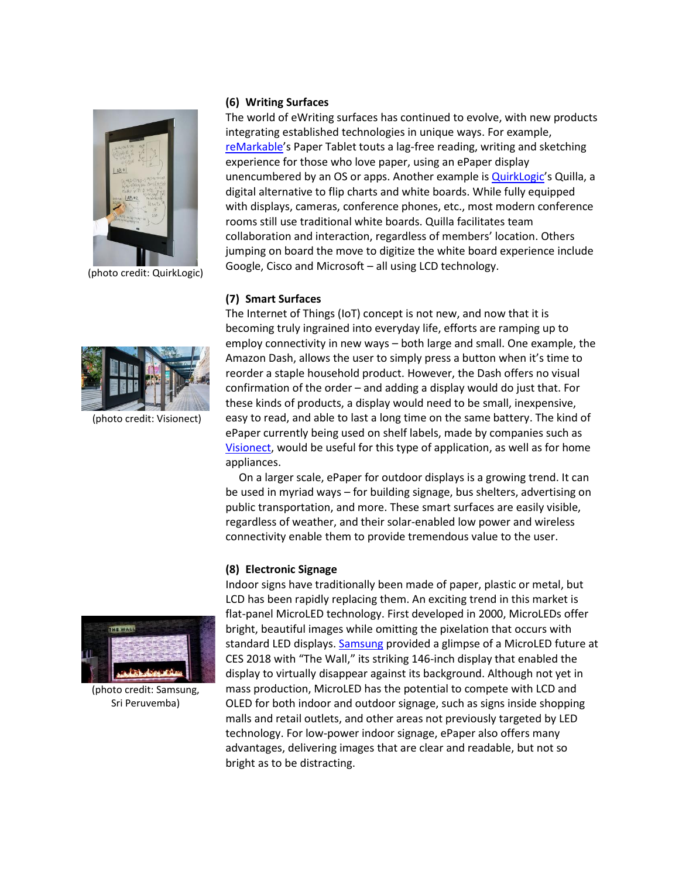

(photo credit: QuirkLogic)

#### **(6) Writing Surfaces**

The world of eWriting surfaces has continued to evolve, with new products integrating established technologies in unique ways. For example, [reMarkable](https://remarkable.com/)'s Paper Tablet touts a lag-free reading, writing and sketching experience for those who love paper, using an ePaper display unencumbered by an OS or apps. Another example is **QuirkLogic's Quilla**, a digital alternative to flip charts and white boards. While fully equipped with displays, cameras, conference phones, etc., most modern conference rooms still use traditional white boards. Quilla facilitates team collaboration and interaction, regardless of members' location. Others jumping on board the move to digitize the white board experience include Google, Cisco and Microsoft – all using LCD technology.

## **(7) Smart Surfaces**



(photo credit: Visionect)

The Internet of Things (IoT) concept is not new, and now that it is becoming truly ingrained into everyday life, efforts are ramping up to employ connectivity in new ways – both large and small. One example, the Amazon Dash, allows the user to simply press a button when it's time to reorder a staple household product. However, the Dash offers no visual confirmation of the order – and adding a display would do just that. For these kinds of products, a display would need to be small, inexpensive, easy to read, and able to last a long time on the same battery. The kind of ePaper currently being used on shelf labels, made by companies such as [Visionect,](https://www.visionect.com/) would be useful for this type of application, as well as for home appliances.

On a larger scale, ePaper for outdoor displays is a growing trend. It can be used in myriad ways – for building signage, bus shelters, advertising on public transportation, and more. These smart surfaces are easily visible, regardless of weather, and their solar-enabled low power and wireless connectivity enable them to provide tremendous value to the user.

## **(8) Electronic Signage**



(photo credit: Samsung, Sri Peruvemba)

Indoor signs have traditionally been made of paper, plastic or metal, but LCD has been rapidly replacing them. An exciting trend in this market is flat-panel MicroLED technology. First developed in 2000, MicroLEDs offer bright, beautiful images while omitting the pixelation that occurs with standard LED displays[. Samsung](https://news.samsung.com/global/samsung-unveils-the-wall-the-worlds-first-modular-microled-146-inch-tv) provided a glimpse of a MicroLED future at CES 2018 with "The Wall," its striking 146-inch display that enabled the display to virtually disappear against its background. Although not yet in mass production, MicroLED has the potential to compete with LCD and OLED for both indoor and outdoor signage, such as signs inside shopping malls and retail outlets, and other areas not previously targeted by LED technology. For low-power indoor signage, ePaper also offers many advantages, delivering images that are clear and readable, but not so bright as to be distracting.